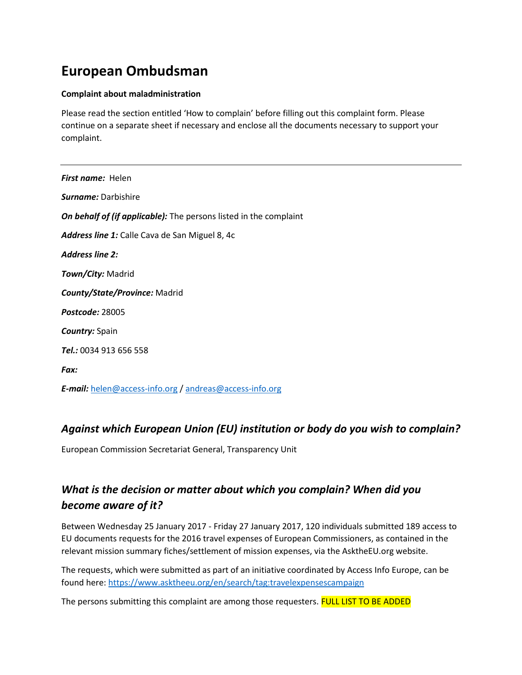# **European Ombudsman**

#### **Complaint about maladministration**

Please read the section entitled 'How to complain' before filling out this complaint form. Please continue on a separate sheet if necessary and enclose all the documents necessary to support your complaint.

*First name:* Helen *Surname:* Darbishire *On behalf of (if applicable):* The persons listed in the complaint *Address line 1:* Calle Cava de San Miguel 8, 4c *Address line 2: Town/City:* Madrid *County/State/Province:* Madrid *Postcode:* 28005 *Country:* Spain *Tel.:* 0034 913 656 558 *Fax: E-mail:* [helen@access-info.org](mailto:helen@access-info.org) [/ andreas@access-info.org](mailto:andreas@access-info.org)

### *Against which European Union (EU) institution or body do you wish to complain?*

European Commission Secretariat General, Transparency Unit

## *What is the decision or matter about which you complain? When did you become aware of it?*

Between Wednesday 25 January 2017 - Friday 27 January 2017, 120 individuals submitted 189 access to EU documents requests for the 2016 travel expenses of European Commissioners, as contained in the relevant mission summary fiches/settlement of mission expenses, via the AsktheEU.org website.

The requests, which were submitted as part of an initiative coordinated by Access Info Europe, can be found here:<https://www.asktheeu.org/en/search/tag:travelexpensescampaign>

The persons submitting this complaint are among those requesters. FULL LIST TO BE ADDED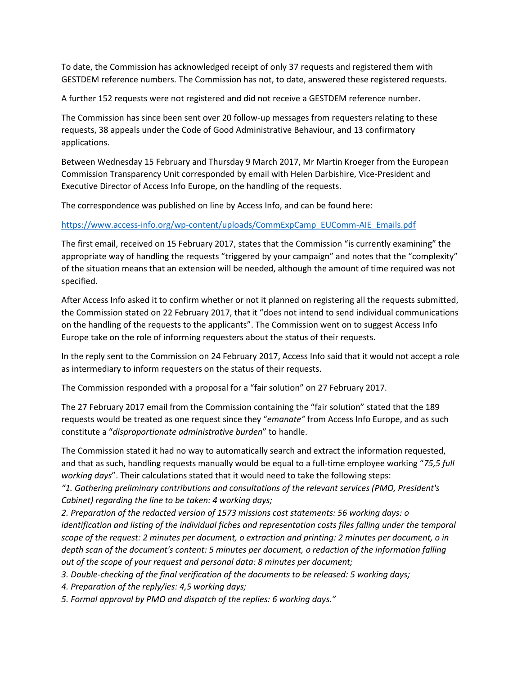To date, the Commission has acknowledged receipt of only 37 requests and registered them with GESTDEM reference numbers. The Commission has not, to date, answered these registered requests.

A further 152 requests were not registered and did not receive a GESTDEM reference number.

The Commission has since been sent over 20 follow-up messages from requesters relating to these requests, 38 appeals under the Code of Good Administrative Behaviour, and 13 confirmatory applications.

Between Wednesday 15 February and Thursday 9 March 2017, Mr Martin Kroeger from the European Commission Transparency Unit corresponded by email with Helen Darbishire, Vice-President and Executive Director of Access Info Europe, on the handling of the requests.

The correspondence was published on line by Access Info, and can be found here:

#### [https://www.access-info.org/wp-content/uploads/CommExpCamp\\_EUComm-AIE\\_Emails.pdf](https://www.access-info.org/wp-content/uploads/CommExpCamp_EUComm-AIE_Emails.pdf)

The first email, received on 15 February 2017, states that the Commission "is currently examining" the appropriate way of handling the requests "triggered by your campaign" and notes that the "complexity" of the situation means that an extension will be needed, although the amount of time required was not specified.

After Access Info asked it to confirm whether or not it planned on registering all the requests submitted, the Commission stated on 22 February 2017, that it "does not intend to send individual communications on the handling of the requests to the applicants". The Commission went on to suggest Access Info Europe take on the role of informing requesters about the status of their requests.

In the reply sent to the Commission on 24 February 2017, Access Info said that it would not accept a role as intermediary to inform requesters on the status of their requests.

The Commission responded with a proposal for a "fair solution" on 27 February 2017.

The 27 February 2017 email from the Commission containing the "fair solution" stated that the 189 requests would be treated as one request since they "*emanate"* from Access Info Europe, and as such constitute a "*disproportionate administrative burden*" to handle.

The Commission stated it had no way to automatically search and extract the information requested, and that as such, handling requests manually would be equal to a full-time employee working "*75,5 full working days*". Their calculations stated that it would need to take the following steps:

*"1. Gathering preliminary contributions and consultations of the relevant services (PMO, President's Cabinet) regarding the line to be taken: 4 working days;* 

*2. Preparation of the redacted version of 1573 missions cost statements: 56 working days: o identification and listing of the individual fiches and representation costs files falling under the temporal scope of the request: 2 minutes per document, o extraction and printing: 2 minutes per document, o in depth scan of the document's content: 5 minutes per document, o redaction of the information falling out of the scope of your request and personal data: 8 minutes per document;* 

*3. Double-checking of the final verification of the documents to be released: 5 working days;* 

*4. Preparation of the reply/ies: 4,5 working days;* 

*5. Formal approval by PMO and dispatch of the replies: 6 working days."*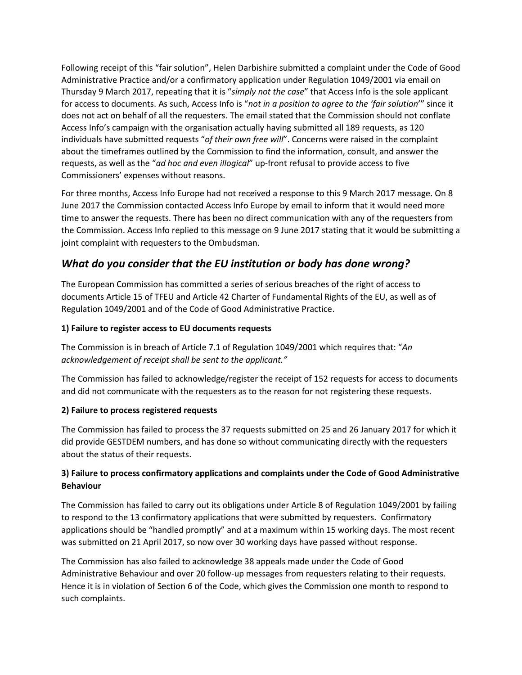Following receipt of this "fair solution", Helen Darbishire submitted a complaint under the Code of Good Administrative Practice and/or a confirmatory application under Regulation 1049/2001 via email on Thursday 9 March 2017, repeating that it is "*simply not the case*" that Access Info is the sole applicant for access to documents. As such, Access Info is "*not in a position to agree to the 'fair solution*'" since it does not act on behalf of all the requesters. The email stated that the Commission should not conflate Access Info's campaign with the organisation actually having submitted all 189 requests, as 120 individuals have submitted requests "*of their own free will*". Concerns were raised in the complaint about the timeframes outlined by the Commission to find the information, consult, and answer the requests, as well as the "*ad hoc and even illogical*" up-front refusal to provide access to five Commissioners' expenses without reasons.

For three months, Access Info Europe had not received a response to this 9 March 2017 message. On 8 June 2017 the Commission contacted Access Info Europe by email to inform that it would need more time to answer the requests. There has been no direct communication with any of the requesters from the Commission. Access Info replied to this message on 9 June 2017 stating that it would be submitting a joint complaint with requesters to the Ombudsman.

### *What do you consider that the EU institution or body has done wrong?*

The European Commission has committed a series of serious breaches of the right of access to documents Article 15 of TFEU and Article 42 Charter of Fundamental Rights of the EU, as well as of Regulation 1049/2001 and of the Code of Good Administrative Practice.

#### **1) Failure to register access to EU documents requests**

The Commission is in breach of Article 7.1 of Regulation 1049/2001 which requires that: "*An acknowledgement of receipt shall be sent to the applicant."*

The Commission has failed to acknowledge/register the receipt of 152 requests for access to documents and did not communicate with the requesters as to the reason for not registering these requests.

#### **2) Failure to process registered requests**

The Commission has failed to process the 37 requests submitted on 25 and 26 January 2017 for which it did provide GESTDEM numbers, and has done so without communicating directly with the requesters about the status of their requests.

#### **3) Failure to process confirmatory applications and complaints under the Code of Good Administrative Behaviour**

The Commission has failed to carry out its obligations under Article 8 of Regulation 1049/2001 by failing to respond to the 13 confirmatory applications that were submitted by requesters. Confirmatory applications should be "handled promptly" and at a maximum within 15 working days. The most recent was submitted on 21 April 2017, so now over 30 working days have passed without response.

The Commission has also failed to acknowledge 38 appeals made under the Code of Good Administrative Behaviour and over 20 follow-up messages from requesters relating to their requests. Hence it is in violation of Section 6 of the Code, which gives the Commission one month to respond to such complaints.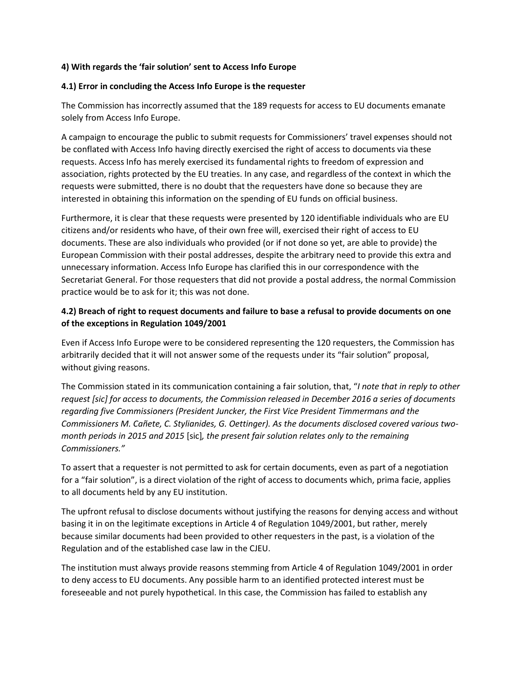#### **4) With regards the 'fair solution' sent to Access Info Europe**

#### **4.1) Error in concluding the Access Info Europe is the requester**

The Commission has incorrectly assumed that the 189 requests for access to EU documents emanate solely from Access Info Europe.

A campaign to encourage the public to submit requests for Commissioners' travel expenses should not be conflated with Access Info having directly exercised the right of access to documents via these requests. Access Info has merely exercised its fundamental rights to freedom of expression and association, rights protected by the EU treaties. In any case, and regardless of the context in which the requests were submitted, there is no doubt that the requesters have done so because they are interested in obtaining this information on the spending of EU funds on official business.

Furthermore, it is clear that these requests were presented by 120 identifiable individuals who are EU citizens and/or residents who have, of their own free will, exercised their right of access to EU documents. These are also individuals who provided (or if not done so yet, are able to provide) the European Commission with their postal addresses, despite the arbitrary need to provide this extra and unnecessary information. Access Info Europe has clarified this in our correspondence with the Secretariat General. For those requesters that did not provide a postal address, the normal Commission practice would be to ask for it; this was not done.

#### **4.2) Breach of right to request documents and failure to base a refusal to provide documents on one of the exceptions in Regulation 1049/2001**

Even if Access Info Europe were to be considered representing the 120 requesters, the Commission has arbitrarily decided that it will not answer some of the requests under its "fair solution" proposal, without giving reasons.

The Commission stated in its communication containing a fair solution, that, "*I note that in reply to other request [sic] for access to documents, the Commission released in December 2016 a series of documents regarding five Commissioners (President Juncker, the First Vice President Timmermans and the Commissioners M. Cañete, C. Stylianides, G. Oettinger). As the documents disclosed covered various twomonth periods in 2015 and 2015* [sic]*, the present fair solution relates only to the remaining Commissioners."*

To assert that a requester is not permitted to ask for certain documents, even as part of a negotiation for a "fair solution", is a direct violation of the right of access to documents which, prima facie, applies to all documents held by any EU institution.

The upfront refusal to disclose documents without justifying the reasons for denying access and without basing it in on the legitimate exceptions in Article 4 of Regulation 1049/2001, but rather, merely because similar documents had been provided to other requesters in the past, is a violation of the Regulation and of the established case law in the CJEU.

The institution must always provide reasons stemming from Article 4 of Regulation 1049/2001 in order to deny access to EU documents. Any possible harm to an identified protected interest must be foreseeable and not purely hypothetical. In this case, the Commission has failed to establish any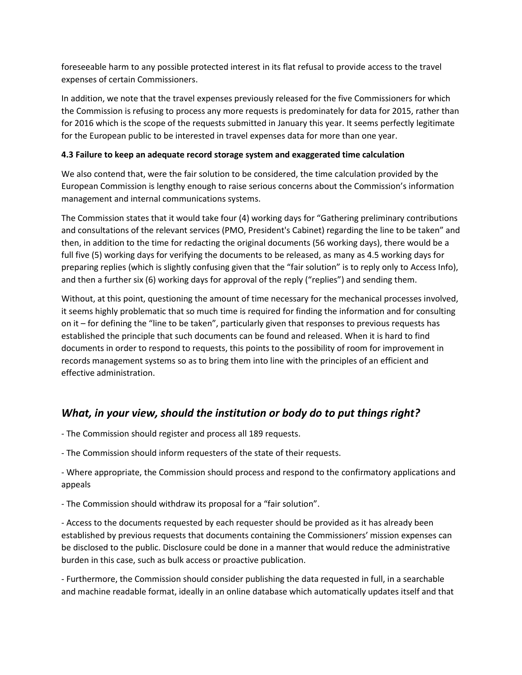foreseeable harm to any possible protected interest in its flat refusal to provide access to the travel expenses of certain Commissioners.

In addition, we note that the travel expenses previously released for the five Commissioners for which the Commission is refusing to process any more requests is predominately for data for 2015, rather than for 2016 which is the scope of the requests submitted in January this year. It seems perfectly legitimate for the European public to be interested in travel expenses data for more than one year.

#### **4.3 Failure to keep an adequate record storage system and exaggerated time calculation**

We also contend that, were the fair solution to be considered, the time calculation provided by the European Commission is lengthy enough to raise serious concerns about the Commission's information management and internal communications systems.

The Commission states that it would take four (4) working days for "Gathering preliminary contributions and consultations of the relevant services (PMO, President's Cabinet) regarding the line to be taken" and then, in addition to the time for redacting the original documents (56 working days), there would be a full five (5) working days for verifying the documents to be released, as many as 4.5 working days for preparing replies (which is slightly confusing given that the "fair solution" is to reply only to Access Info), and then a further six (6) working days for approval of the reply ("replies") and sending them.

Without, at this point, questioning the amount of time necessary for the mechanical processes involved, it seems highly problematic that so much time is required for finding the information and for consulting on it – for defining the "line to be taken", particularly given that responses to previous requests has established the principle that such documents can be found and released. When it is hard to find documents in order to respond to requests, this points to the possibility of room for improvement in records management systems so as to bring them into line with the principles of an efficient and effective administration.

### *What, in your view, should the institution or body do to put things right?*

- The Commission should register and process all 189 requests.

- The Commission should inform requesters of the state of their requests.

- Where appropriate, the Commission should process and respond to the confirmatory applications and appeals

- The Commission should withdraw its proposal for a "fair solution".

- Access to the documents requested by each requester should be provided as it has already been established by previous requests that documents containing the Commissioners' mission expenses can be disclosed to the public. Disclosure could be done in a manner that would reduce the administrative burden in this case, such as bulk access or proactive publication.

- Furthermore, the Commission should consider publishing the data requested in full, in a searchable and machine readable format, ideally in an online database which automatically updates itself and that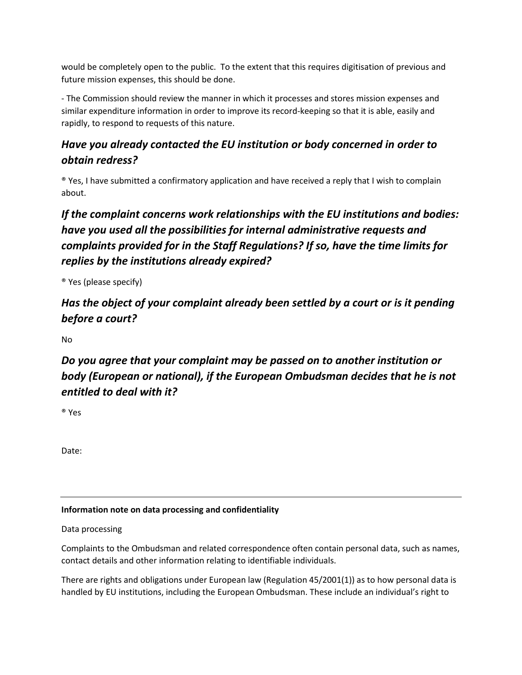would be completely open to the public. To the extent that this requires digitisation of previous and future mission expenses, this should be done.

- The Commission should review the manner in which it processes and stores mission expenses and similar expenditure information in order to improve its record-keeping so that it is able, easily and rapidly, to respond to requests of this nature.

## *Have you already contacted the EU institution or body concerned in order to obtain redress?*

® Yes, I have submitted a confirmatory application and have received a reply that I wish to complain about.

# *If the complaint concerns work relationships with the EU institutions and bodies: have you used all the possibilities for internal administrative requests and complaints provided for in the Staff Regulations? If so, have the time limits for replies by the institutions already expired?*

® Yes (please specify)

# *Has the object of your complaint already been settled by a court or is it pending before a court?*

No

# *Do you agree that your complaint may be passed on to another institution or body (European or national), if the European Ombudsman decides that he is not entitled to deal with it?*

® Yes

Date:

### **Information note on data processing and confidentiality**

#### Data processing

Complaints to the Ombudsman and related correspondence often contain personal data, such as names, contact details and other information relating to identifiable individuals.

There are rights and obligations under European law (Regulation 45/2001(1)) as to how personal data is handled by EU institutions, including the European Ombudsman. These include an individual's right to